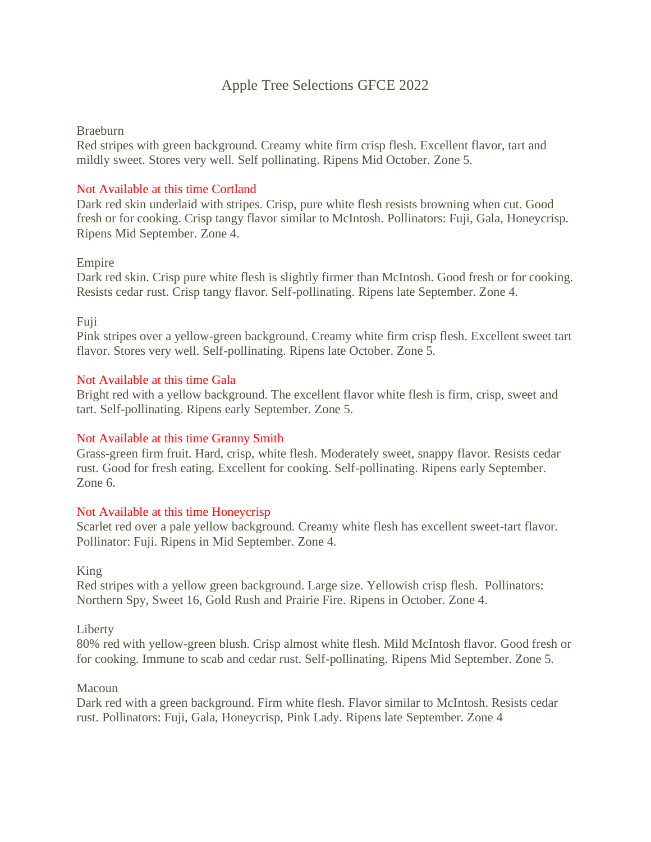# Apple Tree Selections GFCE 2022

### Braeburn

Red stripes with green background. Creamy white firm crisp flesh. Excellent flavor, tart and mildly sweet. Stores very well. Self pollinating. Ripens Mid October. Zone 5.

## Not Available at this time Cortland

Dark red skin underlaid with stripes. Crisp, pure white flesh resists browning when cut. Good fresh or for cooking. Crisp tangy flavor similar to McIntosh. Pollinators: Fuji, Gala, Honeycrisp. Ripens Mid September. Zone 4.

### Empire

Dark red skin. Crisp pure white flesh is slightly firmer than McIntosh. Good fresh or for cooking. Resists cedar rust. Crisp tangy flavor. Self-pollinating. Ripens late September. Zone 4.

### Fuji

Pink stripes over a yellow-green background. Creamy white firm crisp flesh. Excellent sweet tart flavor. Stores very well. Self-pollinating. Ripens late October. Zone 5.

### Not Available at this time Gala

Bright red with a yellow background. The excellent flavor white flesh is firm, crisp, sweet and tart. Self-pollinating. Ripens early September. Zone 5.

## Not Available at this time Granny Smith

Grass-green firm fruit. Hard, crisp, white flesh. Moderately sweet, snappy flavor. Resists cedar rust. Good for fresh eating. Excellent for cooking. Self-pollinating. Ripens early September. Zone 6.

#### Not Available at this time Honeycrisp

Scarlet red over a pale yellow background. Creamy white flesh has excellent sweet-tart flavor. Pollinator: Fuji. Ripens in Mid September. Zone 4.

King

Red stripes with a yellow green background. Large size. Yellowish crisp flesh. Pollinators: Northern Spy, Sweet 16, Gold Rush and Prairie Fire. Ripens in October. Zone 4.

Liberty

80% red with yellow-green blush. Crisp almost white flesh. Mild McIntosh flavor. Good fresh or for cooking. Immune to scab and cedar rust. Self-pollinating. Ripens Mid September. Zone 5.

#### Macoun

Dark red with a green background. Firm white flesh. Flavor similar to McIntosh. Resists cedar rust. Pollinators: Fuji, Gala, Honeycrisp, Pink Lady. Ripens late September. Zone 4